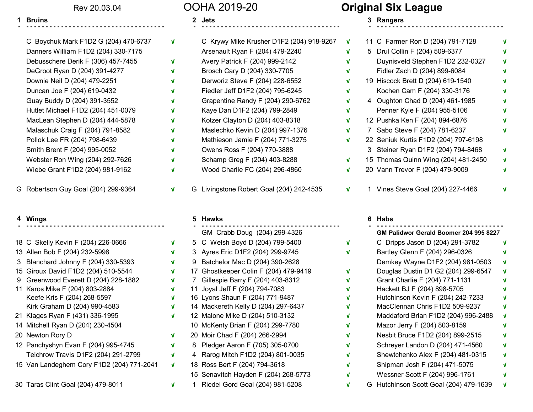### Rev 20.03.04

### **Bruins 2** Jets

**-**

| C Boychuk Mark F1D2 G (204) 470-6737 | V            | C Krywy Mike Krusher D1F2 (204   |
|--------------------------------------|--------------|----------------------------------|
| Danners William F1D2 (204) 330-7175  |              | Arsenault Ryan F (204) 479-2240  |
| Debusschere Derik F (306) 457-7455   | V            | Avery Patrick F (204) 999-2142   |
| DeGroot Ryan D (204) 391-4277        | V            | Brosch Cary D (204) 330-7705     |
| Downie Neil D (204) 479-2251         | V            | Derworiz Steve F (204) 228-6552  |
| Duncan Joe F (204) 619-0432          | V            | Fiedler Jeff D1F2 (204) 795-6245 |
| Guay Buddy D (204) 391-3552          | $\mathbf{v}$ | Grapentine Randy F (204) 290-67  |
| Hutlet Michael F1D2 (204) 451-0079   | V            | Kaye Dan D1F2 (204) 799-2849     |
| MacLean Stephen D (204) 444-5878     | V            | Kotzer Clayton D (204) 403-8318  |
| Malaschuk Craig F (204) 791-8582     | V            | Maslechko Kevin D (204) 997-13   |
| Pollok Lee FR (204) 798-6439         | V            | Mathieson Jamie F (204) 771-327  |
| Smith Brent F (204) 995-0052         | V            | Owens Ross F (204) 770-3888      |
| Webster Ron Wing (204) 292-7626      | V            | Schamp Greg F (204) 403-8288     |
| Wiebe Grant F1D2 (204) 981-9162      | V            | Wood Charlie FC (204) 296-4860   |
|                                      |              |                                  |

### **4Wings Hawks**

|   | 18 C Skelly Kevin F (204) 226-0666        |
|---|-------------------------------------------|
|   | 13 Allen Bob F (204) 232-5998             |
| 3 | Blanchard Johnny F (204) 330-5393         |
|   | 15 Giroux David F1D2 (204) 510-5544       |
|   | 9 Greenwood Everett D (204) 228-1882      |
|   | 11 Karos Mike F (204) 803-2884            |
|   | Keefe Kris F (204) 268-5597               |
|   | Kirk Graham D (204) 990-4583              |
|   | 21 Klages Ryan F (431) 336-1995           |
|   | 14 Mitchell Ryan D (204) 230-4504         |
|   | 20 Newton Rory D                          |
|   | 12 Panchyshyn Evan F (204) 995-4745       |
|   | Teichrow Travis D1F2 (204) 291-2799       |
|   | 15 Van Landeghem Cory F1D2 (204) 771-2041 |
|   | 30 Taras Clint Goal (204) 479-8011        |

## OOHA 2019-20

**√**

**√**

**√**

**√**

**√**

**√**

**√**

**√**

**√**

**√**

**√**

**√**

**√**

**√**

| 4 Wings                              |                                                                                                                                           |   | 5 Hawks                                  |                                                                                                                                           |              | 6 Habs                               |
|--------------------------------------|-------------------------------------------------------------------------------------------------------------------------------------------|---|------------------------------------------|-------------------------------------------------------------------------------------------------------------------------------------------|--------------|--------------------------------------|
|                                      | v                                                                                                                                         |   |                                          | $\mathbf{v}$                                                                                                                              |              | 1 Vines Steve Goal (204) 227-4466    |
|                                      |                                                                                                                                           |   |                                          |                                                                                                                                           |              | 20 Vann Trevor F (204) 479-9009      |
|                                      | v                                                                                                                                         |   |                                          | $\mathbf{v}$                                                                                                                              |              | 15 Thomas Quinn Wing (204) 481-245   |
|                                      | $\mathbf{v}$                                                                                                                              |   |                                          |                                                                                                                                           |              | 3 Steiner Ryan D1F2 (204) 794-8468   |
| Pollok Lee FR (204) 798-6439         | $\mathbf{v}$                                                                                                                              |   | Mathieson Jamie F (204) 771-3275         | $\mathbf{v}$                                                                                                                              |              | 22 Seniuk Kurtis F1D2 (204) 797-6198 |
| Malaschuk Craig F (204) 791-8582     | v                                                                                                                                         |   | Maslechko Kevin D (204) 997-1376         | $\mathbf{v}$                                                                                                                              |              | 7 Sabo Steve F (204) 781-6237        |
| MacLean Stephen D (204) 444-5878     | V                                                                                                                                         |   | Kotzer Clayton D (204) 403-8318          | $\mathbf{v}$                                                                                                                              |              | 12 Pushka Ken F (204) 894-6876       |
| Hutlet Michael F1D2 (204) 451-0079   | V                                                                                                                                         |   | Kaye Dan D1F2 (204) 799-2849             | $\mathbf{v}$                                                                                                                              |              | Penner Kyle F (204) 955-5106         |
| Guay Buddy D (204) 391-3552          | V                                                                                                                                         |   | Grapentine Randy F (204) 290-6762        | $\mathbf{V}$                                                                                                                              |              | 4 Oughton Chad D (204) 461-1985      |
| Duncan Joe F (204) 619-0432          | $\mathbf{v}$                                                                                                                              |   | Fiedler Jeff D1F2 (204) 795-6245         | $\mathbf{v}$                                                                                                                              |              | Kochen Cam F (204) 330-3176          |
| Downie Neil D (204) 479-2251         | v                                                                                                                                         |   | Derworiz Steve F (204) 228-6552          | $\mathbf{v}$                                                                                                                              |              | 19 Hiscock Brett D (204) 619-1540    |
| DeGroot Ryan D (204) 391-4277        | v                                                                                                                                         |   | Brosch Cary D (204) 330-7705             | $\mathbf{v}$                                                                                                                              |              | Fidler Zach D (204) 899-6084         |
| Debusschere Derik F (306) 457-7455   | V                                                                                                                                         |   | Avery Patrick F (204) 999-2142           | $\mathbf{v}$                                                                                                                              |              | Duynisveld Stephen F1D2 232-032      |
| Danners William F1D2 (204) 330-7175  |                                                                                                                                           |   | Arsenault Ryan F (204) 479-2240          | $\mathbf{v}$                                                                                                                              |              | 5 Drul Collin F (204) 509-6377       |
| C Boychuk Mark F1D2 G (204) 470-6737 | V                                                                                                                                         |   | C Krywy Mike Krusher D1F2 (204) 918-9267 | V                                                                                                                                         |              | 11 C Farmer Ron D (204) 791-7128     |
|                                      | Smith Brent F (204) 995-0052<br>Webster Ron Wing (204) 292-7626<br>Wiebe Grant F1D2 (204) 981-9162<br>G Robertson Guy Goal (204) 299-9364 | v |                                          | Owens Ross F (204) 770-3888<br>Schamp Greg F (204) 403-8288<br>Wood Charlie FC (204) 296-4860<br>G Livingstone Robert Goal (204) 242-4535 | $\mathbf{v}$ |                                      |

 **------------------------------------ - ------------------------------------ - ---------------------------------**

## GM Crabb Doug (204) 299-4326 **GM Palidwor Gerald Boomer 204 995 8227** 5 C Welsh Boyd D (204) 799-5400 3 Ayres Eric D1F2 (204) 299-9745 9 Batchelor Mac D (204) 390-2628 17 Ghostkeeper Colin F (204) 479-9419 7 Gillespie Barry F (204) 403-8312 11 Joyal Jeff F (204) 794-7083 16 Lyons Shaun F (204) 771-9487 14 Mackereth Kelly D (204) 297-6437 12 Malone Mike D (204) 510-3132 10 McKenty Brian F (204) 299-7780 20 Moir Chad F (204) 266-2994 8 Pledger Aaron F (705) 305-0700 4 Rarog Mitch F1D2 (204) 801-0035 18 Ross Bert F (204) 794-3618

- 15 Senavitch Hayden F (204) 268-5773
- 1 Riedel Gord Goal (204) 981-5208

# **Original Six League**

**1 2 3 Rangers**

**√**

**√**

**√**

**√**

**√**

**√**

**√**

**√**

**√**

**√**

**√**

**√**

**√**

**√**

**√**

| V |   | 11 C Farmer Ron D (204) 791-7128     | v |
|---|---|--------------------------------------|---|
| V | 5 | Drul Collin F (204) 509-6377         | V |
| V |   | Duynisveld Stephen F1D2 232-0327     | V |
| V |   | Fidler Zach D (204) 899-6084         | V |
| V |   | 19 Hiscock Brett D (204) 619-1540    | V |
| V |   | Kochen Cam F (204) 330-3176          | V |
| V |   | 4 Oughton Chad D (204) 461-1985      | V |
| V |   | Penner Kyle F (204) 955-5106         | V |
| V |   | 12 Pushka Ken F (204) 894-6876       | V |
| V | 7 | Sabo Steve F (204) 781-6237          | V |
| V |   | 22 Seniuk Kurtis F1D2 (204) 797-6198 |   |
|   |   | 3 Steiner Ryan D1F2 (204) 794-8468   | V |
| V |   | 15 Thomas Quinn Wing (204) 481-2450  | V |
| V |   | 20 Vann Trevor F (204) 479-9009      | V |
|   |   |                                      |   |
| V | 1 | Vines Steve Goal (204) 227-4466      |   |

|   |   | GM Palidwor Gerald Boomer 204 995 8227 |   |
|---|---|----------------------------------------|---|
| V |   | C Dripps Jason D (204) 291-3782        | v |
| V |   | Bartley Glenn F (204) 296-0326         | v |
|   |   | Demkey Wayne D1F2 (204) 981-0503       | Λ |
| V |   | Douglas Dustin D1 G2 (204) 299-6547    | Λ |
| V |   | Grant Charlie F (204) 771-1131         | v |
| V |   | Hackett BJ F (204) 898-5705            | V |
| V |   | Hutchinson Kevin F (204) 242-7233      | V |
| V |   | MacClennan Chris F1D2 509-9237         | V |
| V |   | Maddaford Brian F1D2 (204) 996-2488    | V |
| V |   | Mazor Jerry F (204) 803-8159           | V |
| V |   | Nesbit Bruce F1D2 (204) 899-2515       | V |
| V |   | Schreyer Landon D (204) 471-4560       | V |
| V |   | Shewtchenko Alex F (204) 481-0315      | V |
| V |   | Shipman Josh F (204) 471-5075          | V |
| V |   | Wessner Scott F (204) 996-1761         | V |
| V | G | Hutchinson Scott Goal (204) 479-1639   | V |
|   |   |                                        |   |